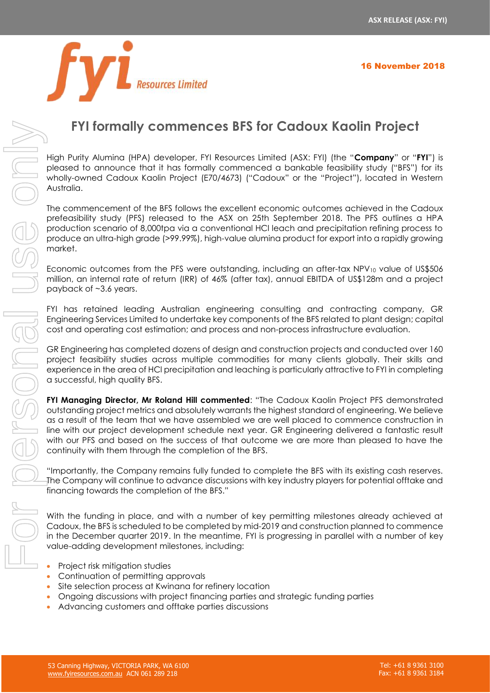

# **FYI formally commences BFS for Cadoux Kaolin Project**

High Purity Alumina (HPA) developer, FYI Resources Limited (ASX: FYI) (the "**Company**" or "**FYI**") is pleased to announce that it has formally commenced a bankable feasibility study ("BFS") for its wholly-owned Cadoux Kaolin Project (E70/4673) ("Cadoux" or the "Project"), located in Western Australia.

The commencement of the BFS follows the excellent economic outcomes achieved in the Cadoux prefeasibility study (PFS) released to the ASX on 25th September 2018. The PFS outlines a HPA production scenario of 8,000tpa via a conventional HCl leach and precipitation refining process to produce an ultra-high grade (>99.99%), high-value alumina product for export into a rapidly growing market.

Economic outcomes from the PFS were outstanding, including an after-tax NPV<sub>10</sub> value of US\$506 million, an internal rate of return (IRR) of 46% (after tax), annual EBITDA of US\$128m and a project payback of ~3.6 years.

FYI has retained leading Australian engineering consulting and contracting company, GR Engineering Services Limited to undertake key components of the BFS related to plant design; capital cost and operating cost estimation; and process and non-process infrastructure evaluation.

GR Engineering has completed dozens of design and construction projects and conducted over 160 project feasibility studies across multiple commodities for many clients globally. Their skills and experience in the area of HCl precipitation and leaching is particularly attractive to FYI in completing a successful, high quality BFS.

FYI Managing Director, Mr Roland Hill commented: "The Cadoux Kaolin Project PFS demonstrated outstanding project metrics and absolutely warrants the highest standard of engineering. We believe as a result of the team that we have assembled we are well placed to commence construction in line with our project development schedule next year. GR Engineering delivered a fantastic result with our PFS and based on the success of that outcome we are more than pleased to have the continuity with them through the completion of the BFS.

"Importantly, the Company remains fully funded to complete the BFS with its existing cash reserves. The Company will continue to advance discussions with key industry players for potential offtake and financing towards the completion of the BFS."

With the funding in place, and with a number of key permitting milestones already achieved at Cadoux, the BFS is scheduled to be completed by mid-2019 and construction planned to commence in the December quarter 2019. In the meantime, FYI is progressing in parallel with a number of key value-adding development milestones, including:

- Project risk mitigation studies
- Continuation of permitting approvals
- Site selection process at Kwinana for refinery location
- Ongoing discussions with project financing parties and strategic funding parties
-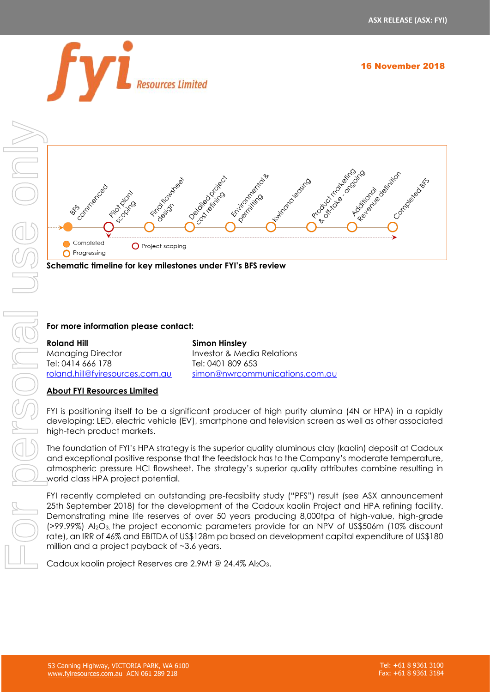

16 November 2018





**Schematic timeline for key milestones under FYI's BFS review** 

## **For more information please contact:**

#### [roland.hill@fyiresources.com.au](mailto:roland.hill@fyiresources.com.au) **Simon Hinsley** Investor & Media Relations Tel: 0401 809 653 [simon@nwrcommunications.com.au](mailto:simon@nwrcommunications.com.au)

## **About FYI Resources Limited**

FYI is positioning itself to be a significant producer of high purity alumina (4N or HPA) in a rapidly developing: LED, electric vehicle (EV), smartphone and television screen as well as other associated high-tech product markets.

The foundation of FYI's HPA strategy is the superior quality aluminous clay (kaolin) deposit at Cadoux and exceptional positive response that the feedstock has to the Company's moderate temperature, atmospheric pressure HCl flowsheet. The strategy's superior quality attributes combine resulting in world class HPA project potential.

FYI recently completed an outstanding pre-feasibilty study ("PFS") result (see ASX announcement 25th September 2018) for the development of the Cadoux kaolin Project and HPA refining facility. Demonstrating mine life reserves of over 50 years producing 8,000tpa of high-value, high-grade (>99.99%) Al2O3, the project economic parameters provide for an NPV of US\$506m (10% discount rate), an IRR of 46% and EBITDA of US\$128m pa based on development capital expenditure of US\$180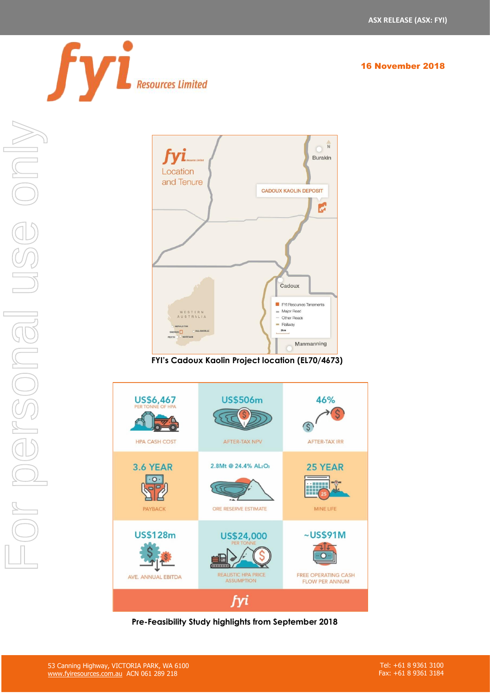

16 November 2018



**FYI's Cadoux Kaolin Project location (EL70/4673)**



**Pre-Feasibility Study highlights from September 2018**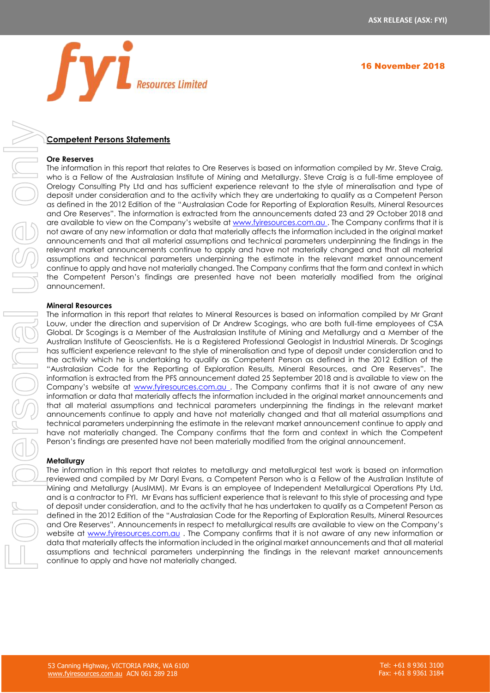

# **Competent Persons Statements**

#### **Ore Reserves**

The information in this report that relates to Ore Reserves is based on information compiled by Mr. Steve Craig, who is a Fellow of the Australasian Institute of Mining and Metallurgy. Steve Craig is a full-time employee of Orelogy Consulting Pty Ltd and has sufficient experience relevant to the style of mineralisation and type of deposit under consideration and to the activity which they are undertaking to qualify as a Competent Person as defined in the 2012 Edition of the "Australasian Code for Reporting of Exploration Results, Mineral Resources and Ore Reserves". The information is extracted from the announcements dated 23 and 29 October 2018 and are available to view on the Company's website at [www.fyiresources.com.au](http://www.fyiresources.com.au/). The Company confirms that it is not aware of any new information or data that materially affects the information included in the original market announcements and that all material assumptions and technical parameters underpinning the findings in the relevant market announcements continue to apply and have not materially changed and that all material assumptions and technical parameters underpinning the estimate in the relevant market announcement continue to apply and have not materially changed. The Company confirms that the form and context in which the Competent Person's findings are presented have not been materially modified from the original announcement.

#### **Mineral Resources**

The information in this report that relates to Mineral Resources is based on information compiled by Mr Grant Louw, under the direction and supervision of Dr Andrew Scogings, who are both full-time employees of CSA Global. Dr Scogings is a Member of the Australasian Institute of Mining and Metallurgy and a Member of the Australian Institute of Geoscientists. He is a Registered Professional Geologist in Industrial Minerals. Dr Scogings has sufficient experience relevant to the style of mineralisation and type of deposit under consideration and to the activity which he is undertaking to qualify as Competent Person as defined in the 2012 Edition of the "Australasian Code for the Reporting of Exploration Results, Mineral Resources, and Ore Reserves". The information is extracted from the PFS announcement dated 25 September 2018 and is available to view on the Company's website at [www.fyiresources.com.au](http://www.fyiresources.com.au/). The Company confirms that it is not aware of any new information or data that materially affects the information included in the original market announcements and that all material assumptions and technical parameters underpinning the findings in the relevant market announcements continue to apply and have not materially changed and that all material assumptions and technical parameters underpinning the estimate in the relevant market announcement continue to apply and have not materially changed. The Company confirms that the form and context in which the Competent Person's findings are presented have not been materially modified from the original announcement. **Example 12 Coverage in the relevant market and technical parameters under the relevant market and the relevant market and the relevant market and the relevant market and the relevant market and the relevant market and t** 

#### **Metallurgy**

The information in this report that relates to metallurgy and metallurgical test work is based on information reviewed and compiled by Mr Daryl Evans, a Competent Person who is a Fellow of the Australian Institute of Mining and Metallurgy (AusIMM). Mr Evans is an employee of Independent Metallurgical Operations Pty Ltd, and is a contractor to FYI. Mr Evans has sufficient experience that is relevant to this style of processing and type of deposit under consideration, and to the activity that he has undertaken to qualify as a Competent Person as defined in the 2012 Edition of the "Australasian Code for the Reporting of Exploration Results, Mineral Resources and Ore Reserves". Announcements in respect to metallurgical results are available to view on the Company's website at [www.fyiresources.com.au](http://www.fyiresources.com.au/) . The Company confirms that it is not aware of any new information or data that materially affects the information included in the original market announcements and that all material